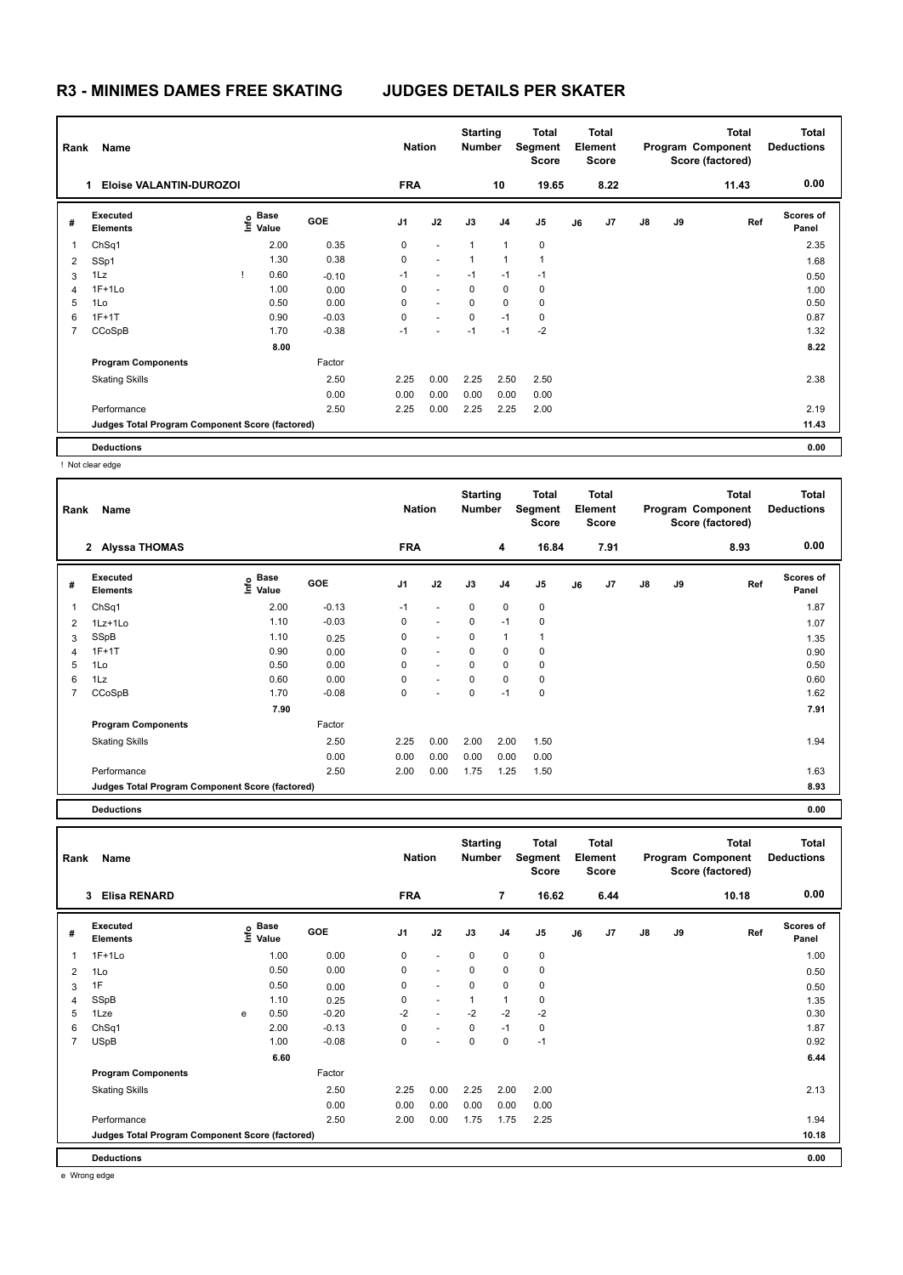| Rank | Name                                            |                    | <b>Starting</b><br><b>Nation</b><br><b>Number</b> |                | Total<br>Segment<br><b>Score</b> |              | <b>Total</b><br>Element<br><b>Score</b> |             |    | <b>Total</b><br>Program Component<br>Score (factored) | <b>Total</b><br><b>Deductions</b> |    |       |                           |
|------|-------------------------------------------------|--------------------|---------------------------------------------------|----------------|----------------------------------|--------------|-----------------------------------------|-------------|----|-------------------------------------------------------|-----------------------------------|----|-------|---------------------------|
|      | Eloise VALANTIN-DUROZOI                         |                    |                                                   | <b>FRA</b>     |                                  |              | 10                                      | 19.65       |    | 8.22                                                  |                                   |    | 11.43 | 0.00                      |
| #    | Executed<br><b>Elements</b>                     | $\frac{6}{5}$ Base | <b>GOE</b>                                        | J <sub>1</sub> | J2                               | J3           | J <sub>4</sub>                          | J5          | J6 | J7                                                    | $\mathsf{J}8$                     | J9 | Ref   | <b>Scores of</b><br>Panel |
| 1    | ChSq1                                           | 2.00               | 0.35                                              | 0              | $\sim$                           | $\mathbf{1}$ | 1                                       | $\mathbf 0$ |    |                                                       |                                   |    |       | 2.35                      |
| 2    | SSp1                                            | 1.30               | 0.38                                              | 0              | $\sim$                           | $\mathbf{1}$ | 1                                       | 1           |    |                                                       |                                   |    |       | 1.68                      |
| 3    | 1Lz                                             | 0.60               | $-0.10$                                           | $-1$           | $\sim$                           | $-1$         | $-1$                                    | $-1$        |    |                                                       |                                   |    |       | 0.50                      |
| 4    | $1F+1Lo$                                        | 1.00               | 0.00                                              | 0              | $\sim$                           | $\Omega$     | 0                                       | 0           |    |                                                       |                                   |    |       | 1.00                      |
| 5    | 1Lo                                             | 0.50               | 0.00                                              | $\Omega$       | $\sim$                           | $\Omega$     | $\Omega$                                | $\mathbf 0$ |    |                                                       |                                   |    |       | 0.50                      |
| 6    | $1F+1T$                                         | 0.90               | $-0.03$                                           | 0              | $\sim$                           | $\mathbf 0$  | $-1$                                    | $\pmb{0}$   |    |                                                       |                                   |    |       | 0.87                      |
|      | CCoSpB                                          | 1.70               | $-0.38$                                           | $-1$           |                                  | $-1$         | $-1$                                    | $-2$        |    |                                                       |                                   |    |       | 1.32                      |
|      |                                                 | 8.00               |                                                   |                |                                  |              |                                         |             |    |                                                       |                                   |    |       | 8.22                      |
|      | <b>Program Components</b>                       |                    | Factor                                            |                |                                  |              |                                         |             |    |                                                       |                                   |    |       |                           |
|      | <b>Skating Skills</b>                           |                    | 2.50                                              | 2.25           | 0.00                             | 2.25         | 2.50                                    | 2.50        |    |                                                       |                                   |    |       | 2.38                      |
|      |                                                 |                    | 0.00                                              | 0.00           | 0.00                             | 0.00         | 0.00                                    | 0.00        |    |                                                       |                                   |    |       |                           |
|      | Performance                                     |                    | 2.50                                              | 2.25           | 0.00                             | 2.25         | 2.25                                    | 2.00        |    |                                                       |                                   |    |       | 2.19                      |
|      | Judges Total Program Component Score (factored) |                    |                                                   |                |                                  |              |                                         |             |    |                                                       |                                   |    |       | 11.43                     |
|      | <b>Deductions</b>                               |                    |                                                   |                |                                  |              |                                         |             |    |                                                       |                                   |    |       | 0.00                      |

! Not clear edge

| Name<br>Rank   |                                                 |                           |         |            | <b>Starting</b><br><b>Nation</b><br><b>Number</b> |          |                | <b>Total</b><br>Segment<br><b>Score</b> | <b>Total</b><br>Element<br><b>Score</b> |      | Program Component |    | <b>Total</b><br>Score (factored) | <b>Total</b><br><b>Deductions</b> |  |
|----------------|-------------------------------------------------|---------------------------|---------|------------|---------------------------------------------------|----------|----------------|-----------------------------------------|-----------------------------------------|------|-------------------|----|----------------------------------|-----------------------------------|--|
|                | 2 Alyssa THOMAS                                 |                           |         | <b>FRA</b> |                                                   |          | 4              | 16.84                                   |                                         | 7.91 |                   |    | 8.93                             | 0.00                              |  |
| #              | Executed<br><b>Elements</b>                     | Base<br>e Base<br>⊆ Value | GOE     | J1         | J2                                                | J3       | J <sub>4</sub> | J <sub>5</sub>                          | J6                                      | J7   | $\mathsf{J}8$     | J9 | Ref                              | <b>Scores of</b><br>Panel         |  |
| 1              | Ch <sub>Sq1</sub>                               | 2.00                      | $-0.13$ | $-1$       | $\overline{\phantom{a}}$                          | 0        | 0              | 0                                       |                                         |      |                   |    |                                  | 1.87                              |  |
| 2              | 1Lz+1Lo                                         | 1.10                      | $-0.03$ | 0          | $\sim$                                            | 0        | $-1$           | $\mathbf 0$                             |                                         |      |                   |    |                                  | 1.07                              |  |
| 3              | SSpB                                            | 1.10                      | 0.25    | 0          | $\sim$                                            | 0        | 1              | 1                                       |                                         |      |                   |    |                                  | 1.35                              |  |
| 4              | $1F+1T$                                         | 0.90                      | 0.00    | 0          | $\sim$                                            | $\Omega$ | 0              | 0                                       |                                         |      |                   |    |                                  | 0.90                              |  |
| 5              | 1Lo                                             | 0.50                      | 0.00    | 0          | $\overline{\phantom{a}}$                          | 0        | 0              | 0                                       |                                         |      |                   |    |                                  | 0.50                              |  |
| 6              | 1Lz                                             | 0.60                      | 0.00    | 0          | $\sim$                                            | 0        | 0              | 0                                       |                                         |      |                   |    |                                  | 0.60                              |  |
| $\overline{7}$ | CCoSpB                                          | 1.70                      | $-0.08$ | 0          |                                                   | 0        | $-1$           | $\mathbf 0$                             |                                         |      |                   |    |                                  | 1.62                              |  |
|                |                                                 | 7.90                      |         |            |                                                   |          |                |                                         |                                         |      |                   |    |                                  | 7.91                              |  |
|                | <b>Program Components</b>                       |                           | Factor  |            |                                                   |          |                |                                         |                                         |      |                   |    |                                  |                                   |  |
|                | <b>Skating Skills</b>                           |                           | 2.50    | 2.25       | 0.00                                              | 2.00     | 2.00           | 1.50                                    |                                         |      |                   |    |                                  | 1.94                              |  |
|                |                                                 |                           | 0.00    | 0.00       | 0.00                                              | 0.00     | 0.00           | 0.00                                    |                                         |      |                   |    |                                  |                                   |  |
|                | Performance                                     |                           | 2.50    | 2.00       | 0.00                                              | 1.75     | 1.25           | 1.50                                    |                                         |      |                   |    |                                  | 1.63                              |  |
|                | Judges Total Program Component Score (factored) |                           |         |            |                                                   |          |                |                                         |                                         |      |                   |    |                                  | 8.93                              |  |
|                | <b>Deductions</b>                               |                           |         |            |                                                   |          |                |                                         |                                         |      |                   |    |                                  | 0.00                              |  |

|                | Rank<br>Name                                    |   |                                           |            | <b>Nation</b> |                      |             | <b>Starting</b><br><b>Number</b> | <b>Total</b><br>Segment<br><b>Score</b> | <b>Total</b><br>Element<br><b>Score</b> |      | Program Component |    | <b>Total</b><br>Score (factored) | <b>Total</b><br><b>Deductions</b> |
|----------------|-------------------------------------------------|---|-------------------------------------------|------------|---------------|----------------------|-------------|----------------------------------|-----------------------------------------|-----------------------------------------|------|-------------------|----|----------------------------------|-----------------------------------|
|                | <b>Elisa RENARD</b><br>3                        |   |                                           |            | <b>FRA</b>    |                      |             | $\overline{7}$                   | 16.62                                   |                                         | 6.44 |                   |    | 10.18                            | 0.00                              |
| #              | Executed<br><b>Elements</b>                     |   | $\frac{6}{5}$ Base<br>$\frac{1}{5}$ Value | <b>GOE</b> | J1            | J2                   | J3          | J <sub>4</sub>                   | J <sub>5</sub>                          | J6                                      | J7   | J8                | J9 | Ref                              | <b>Scores of</b><br>Panel         |
| 1              | $1F+1Lo$                                        |   | 1.00                                      | 0.00       | 0             | $\sim$               | $\mathbf 0$ | 0                                | $\mathbf 0$                             |                                         |      |                   |    |                                  | 1.00                              |
| 2              | 1Lo                                             |   | 0.50                                      | 0.00       | 0             | $\sim$               | $\mathbf 0$ | 0                                | 0                                       |                                         |      |                   |    |                                  | 0.50                              |
| 3              | 1F                                              |   | 0.50                                      | 0.00       | 0             | $\sim$               | $\mathbf 0$ | 0                                | $\mathbf 0$                             |                                         |      |                   |    |                                  | 0.50                              |
| 4              | SSpB                                            |   | 1.10                                      | 0.25       | 0             | $\sim$               | 1           | 1                                | 0                                       |                                         |      |                   |    |                                  | 1.35                              |
| 5              | 1Lze                                            | e | 0.50                                      | $-0.20$    | $-2$          | $\blacksquare$       | $-2$        | $-2$                             | $-2$                                    |                                         |      |                   |    |                                  | 0.30                              |
| 6              | ChSq1                                           |   | 2.00                                      | $-0.13$    | 0             | $\ddot{\phantom{1}}$ | $\mathbf 0$ | $-1$                             | $\pmb{0}$                               |                                         |      |                   |    |                                  | 1.87                              |
| $\overline{7}$ | <b>USpB</b>                                     |   | 1.00                                      | $-0.08$    | 0             | $\overline{a}$       | 0           | 0                                | $-1$                                    |                                         |      |                   |    |                                  | 0.92                              |
|                |                                                 |   | 6.60                                      |            |               |                      |             |                                  |                                         |                                         |      |                   |    |                                  | 6.44                              |
|                | <b>Program Components</b>                       |   |                                           | Factor     |               |                      |             |                                  |                                         |                                         |      |                   |    |                                  |                                   |
|                | <b>Skating Skills</b>                           |   |                                           | 2.50       | 2.25          | 0.00                 | 2.25        | 2.00                             | 2.00                                    |                                         |      |                   |    |                                  | 2.13                              |
|                |                                                 |   |                                           | 0.00       | 0.00          | 0.00                 | 0.00        | 0.00                             | 0.00                                    |                                         |      |                   |    |                                  |                                   |
|                | Performance                                     |   |                                           | 2.50       | 2.00          | 0.00                 | 1.75        | 1.75                             | 2.25                                    |                                         |      |                   |    |                                  | 1.94                              |
|                | Judges Total Program Component Score (factored) |   |                                           |            |               |                      |             |                                  |                                         |                                         |      |                   |    |                                  | 10.18                             |
|                | <b>Deductions</b>                               |   |                                           |            |               |                      |             |                                  |                                         |                                         |      |                   |    |                                  | 0.00                              |

e Wrong edge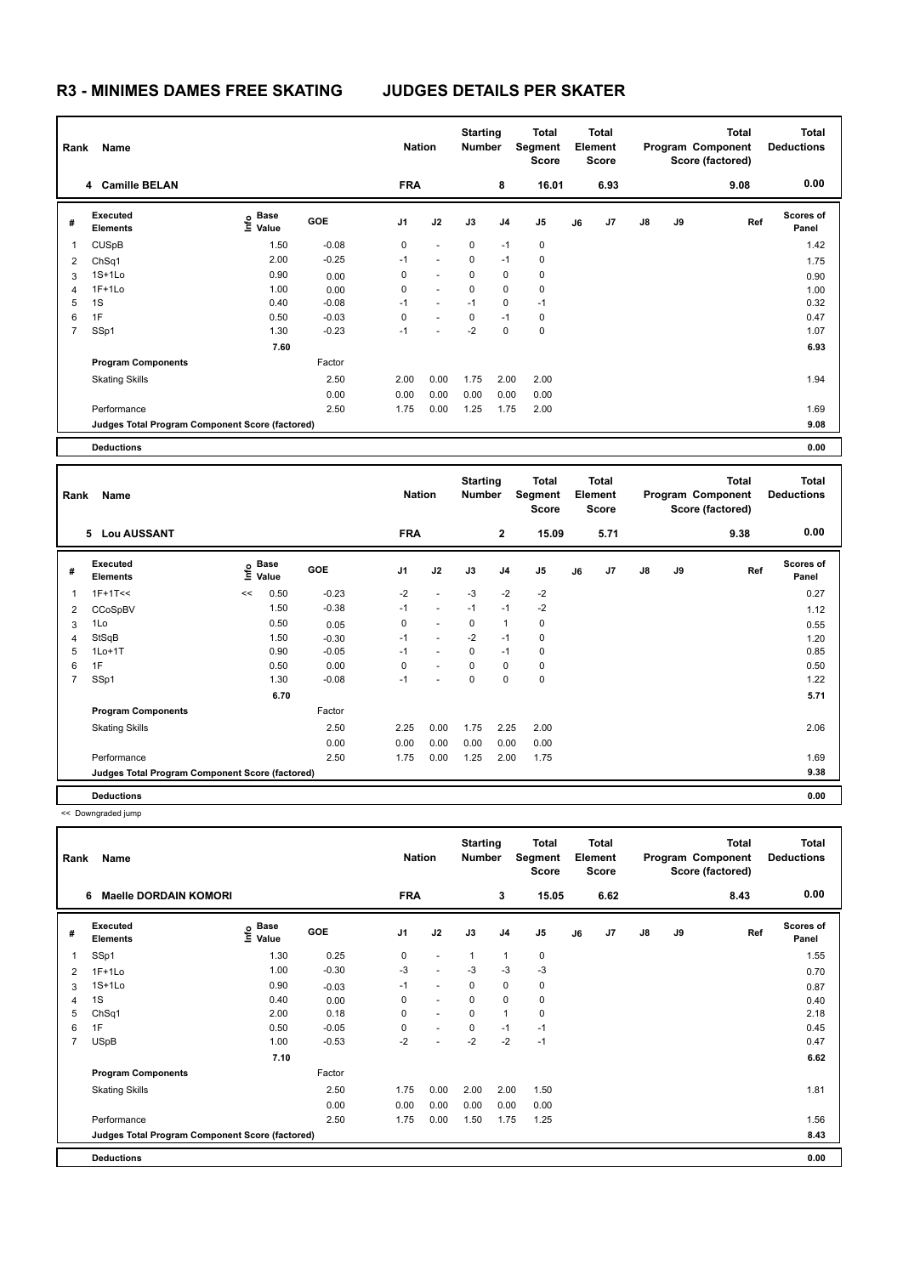|              | Name<br>Rank                                    |                                  |            | <b>Nation</b>  |                          | <b>Starting</b><br><b>Number</b> |                | Total<br>Segment<br><b>Score</b> |    | Total<br>Element<br><b>Score</b> |               | <b>Total</b><br>Program Component<br>Score (factored) |      | Total<br><b>Deductions</b> |
|--------------|-------------------------------------------------|----------------------------------|------------|----------------|--------------------------|----------------------------------|----------------|----------------------------------|----|----------------------------------|---------------|-------------------------------------------------------|------|----------------------------|
|              | 4 Camille BELAN                                 |                                  |            | <b>FRA</b>     |                          |                                  | 8              | 16.01                            |    | 6.93                             |               |                                                       | 9.08 | 0.00                       |
| #            | Executed<br><b>Elements</b>                     | <b>Base</b><br>e Base<br>⊆ Value | <b>GOE</b> | J <sub>1</sub> | J2                       | J3                               | J <sub>4</sub> | J5                               | J6 | J <sub>7</sub>                   | $\mathsf{J}8$ | J9                                                    | Ref  | <b>Scores of</b><br>Panel  |
| $\mathbf{1}$ | <b>CUSpB</b>                                    | 1.50                             | $-0.08$    | $\mathbf 0$    | $\overline{\phantom{a}}$ | $\mathbf 0$                      | $-1$           | $\mathbf 0$                      |    |                                  |               |                                                       |      | 1.42                       |
| 2            | ChSq1                                           | 2.00                             | $-0.25$    | $-1$           | $\overline{\phantom{a}}$ | $\Omega$                         | $-1$           | 0                                |    |                                  |               |                                                       |      | 1.75                       |
| 3            | $1S+1Lo$                                        | 0.90                             | 0.00       | 0              | $\overline{\phantom{a}}$ | $\mathbf 0$                      | 0              | 0                                |    |                                  |               |                                                       |      | 0.90                       |
| 4            | $1F+1Lo$                                        | 1.00                             | 0.00       | 0              | $\sim$                   | $\Omega$                         | 0              | $\mathbf 0$                      |    |                                  |               |                                                       |      | 1.00                       |
| 5            | 1S                                              | 0.40                             | $-0.08$    | $-1$           | $\sim$                   | $-1$                             | $\mathbf 0$    | $-1$                             |    |                                  |               |                                                       |      | 0.32                       |
| 6            | 1F                                              | 0.50                             | $-0.03$    | 0              | $\overline{\phantom{a}}$ | $\mathbf 0$                      | $-1$           | 0                                |    |                                  |               |                                                       |      | 0.47                       |
| 7            | SSp1                                            | 1.30                             | $-0.23$    | $-1$           |                          | $-2$                             | 0              | $\pmb{0}$                        |    |                                  |               |                                                       |      | 1.07                       |
|              |                                                 | 7.60                             |            |                |                          |                                  |                |                                  |    |                                  |               |                                                       |      | 6.93                       |
|              | <b>Program Components</b>                       |                                  | Factor     |                |                          |                                  |                |                                  |    |                                  |               |                                                       |      |                            |
|              | <b>Skating Skills</b>                           |                                  | 2.50       | 2.00           | 0.00                     | 1.75                             | 2.00           | 2.00                             |    |                                  |               |                                                       |      | 1.94                       |
|              |                                                 |                                  | 0.00       | 0.00           | 0.00                     | 0.00                             | 0.00           | 0.00                             |    |                                  |               |                                                       |      |                            |
|              | Performance                                     |                                  | 2.50       | 1.75           | 0.00                     | 1.25                             | 1.75           | 2.00                             |    |                                  |               |                                                       |      | 1.69                       |
|              | Judges Total Program Component Score (factored) |                                  |            |                |                          |                                  |                |                                  |    |                                  |               |                                                       |      | 9.08                       |
|              | <b>Deductions</b>                               |                                  |            |                |                          |                                  |                |                                  |    |                                  |               |                                                       |      | 0.00                       |

| Name<br>Rank   |                                                 |    |                   |            |                | <b>Starting</b><br><b>Nation</b><br><b>Number</b> |             | Total<br>Segment<br><b>Score</b> |                | <b>Total</b><br>Element<br><b>Score</b> |      |               |    | <b>Total</b><br>Program Component<br>Score (factored) | Total<br><b>Deductions</b> |
|----------------|-------------------------------------------------|----|-------------------|------------|----------------|---------------------------------------------------|-------------|----------------------------------|----------------|-----------------------------------------|------|---------------|----|-------------------------------------------------------|----------------------------|
|                | 5 Lou AUSSANT                                   |    |                   |            | <b>FRA</b>     |                                                   |             | $\overline{2}$                   | 15.09          |                                         | 5.71 |               |    | 9.38                                                  | 0.00                       |
| #              | Executed<br><b>Elements</b>                     |    | e Base<br>⊆ Value | <b>GOE</b> | J <sub>1</sub> | J2                                                | J3          | J <sub>4</sub>                   | J <sub>5</sub> | J6                                      | J7   | $\mathsf{J}8$ | J9 | Ref                                                   | <b>Scores of</b><br>Panel  |
| 1              | $1F+1T<<$                                       | << | 0.50              | $-0.23$    | $-2$           | $\overline{\phantom{a}}$                          | $-3$        | $-2$                             | $-2$           |                                         |      |               |    |                                                       | 0.27                       |
| 2              | CCoSpBV                                         |    | 1.50              | $-0.38$    | $-1$           | $\overline{a}$                                    | $-1$        | $-1$                             | $-2$           |                                         |      |               |    |                                                       | 1.12                       |
| 3              | 1Lo                                             |    | 0.50              | 0.05       | 0              | $\overline{a}$                                    | $\mathbf 0$ | $\mathbf{1}$                     | $\mathbf 0$    |                                         |      |               |    |                                                       | 0.55                       |
| 4              | StSqB                                           |    | 1.50              | $-0.30$    | $-1$           | $\sim$                                            | $-2$        | $-1$                             | 0              |                                         |      |               |    |                                                       | 1.20                       |
| 5              | $1Lo+1T$                                        |    | 0.90              | $-0.05$    | $-1$           | $\sim$                                            | $\Omega$    | $-1$                             | 0              |                                         |      |               |    |                                                       | 0.85                       |
| 6              | 1F                                              |    | 0.50              | 0.00       | 0              | $\overline{a}$                                    | $\Omega$    | 0                                | 0              |                                         |      |               |    |                                                       | 0.50                       |
| $\overline{7}$ | SSp1                                            |    | 1.30              | $-0.08$    | $-1$           |                                                   | 0           | 0                                | 0              |                                         |      |               |    |                                                       | 1.22                       |
|                |                                                 |    | 6.70              |            |                |                                                   |             |                                  |                |                                         |      |               |    |                                                       | 5.71                       |
|                | <b>Program Components</b>                       |    |                   | Factor     |                |                                                   |             |                                  |                |                                         |      |               |    |                                                       |                            |
|                | <b>Skating Skills</b>                           |    |                   | 2.50       | 2.25           | 0.00                                              | 1.75        | 2.25                             | 2.00           |                                         |      |               |    |                                                       | 2.06                       |
|                |                                                 |    |                   | 0.00       | 0.00           | 0.00                                              | 0.00        | 0.00                             | 0.00           |                                         |      |               |    |                                                       |                            |
|                | Performance                                     |    |                   | 2.50       | 1.75           | 0.00                                              | 1.25        | 2.00                             | 1.75           |                                         |      |               |    |                                                       | 1.69                       |
|                | Judges Total Program Component Score (factored) |    |                   |            |                |                                                   |             |                                  |                |                                         |      |               |    |                                                       | 9.38                       |
|                | <b>Deductions</b>                               |    |                   |            |                |                                                   |             |                                  |                |                                         |      |               |    |                                                       | 0.00                       |

<< Downgraded jump

| Rank | Name                                            |                   |            | <b>Nation</b>  |                          | <b>Starting</b><br><b>Number</b> |                | <b>Total</b><br>Segment<br><b>Score</b> |    | <b>Total</b><br>Element<br><b>Score</b> |               |    | Total<br>Program Component<br>Score (factored) | <b>Total</b><br><b>Deductions</b> |
|------|-------------------------------------------------|-------------------|------------|----------------|--------------------------|----------------------------------|----------------|-----------------------------------------|----|-----------------------------------------|---------------|----|------------------------------------------------|-----------------------------------|
|      | <b>Maelle DORDAIN KOMORI</b><br>6               |                   |            | <b>FRA</b>     |                          |                                  | 3              | 15.05                                   |    | 6.62                                    |               |    | 8.43                                           | 0.00                              |
| #    | Executed<br><b>Elements</b>                     | e Base<br>⊆ Value | <b>GOE</b> | J <sub>1</sub> | J2                       | J3                               | J <sub>4</sub> | J <sub>5</sub>                          | J6 | J <sub>7</sub>                          | $\mathsf{J}8$ | J9 | Ref                                            | <b>Scores of</b><br>Panel         |
| 1    | SSp1                                            | 1.30              | 0.25       | 0              | $\ddot{\phantom{1}}$     | $\mathbf{1}$                     | $\mathbf{1}$   | $\mathbf 0$                             |    |                                         |               |    |                                                | 1.55                              |
| 2    | $1F+1Lo$                                        | 1.00              | $-0.30$    | $-3$           | $\overline{\phantom{a}}$ | $-3$                             | $-3$           | $-3$                                    |    |                                         |               |    |                                                | 0.70                              |
| 3    | $1S+1Lo$                                        | 0.90              | $-0.03$    | $-1$           | $\sim$                   | 0                                | 0              | 0                                       |    |                                         |               |    |                                                | 0.87                              |
| 4    | 1S                                              | 0.40              | 0.00       | 0              | $\overline{\phantom{a}}$ | 0                                | $\mathbf 0$    | $\pmb{0}$                               |    |                                         |               |    |                                                | 0.40                              |
| 5    | ChSq1                                           | 2.00              | 0.18       | 0              | $\ddot{\phantom{1}}$     | $\Omega$                         | $\overline{1}$ | $\mathbf 0$                             |    |                                         |               |    |                                                | 2.18                              |
| 6    | 1F                                              | 0.50              | $-0.05$    | 0              | $\ddot{\phantom{1}}$     | $\mathbf 0$                      | $-1$           | $-1$                                    |    |                                         |               |    |                                                | 0.45                              |
| 7    | <b>USpB</b>                                     | 1.00              | $-0.53$    | $-2$           | $\overline{\phantom{a}}$ | $-2$                             | $-2$           | $-1$                                    |    |                                         |               |    |                                                | 0.47                              |
|      |                                                 | 7.10              |            |                |                          |                                  |                |                                         |    |                                         |               |    |                                                | 6.62                              |
|      | <b>Program Components</b>                       |                   | Factor     |                |                          |                                  |                |                                         |    |                                         |               |    |                                                |                                   |
|      | <b>Skating Skills</b>                           |                   | 2.50       | 1.75           | 0.00                     | 2.00                             | 2.00           | 1.50                                    |    |                                         |               |    |                                                | 1.81                              |
|      |                                                 |                   | 0.00       | 0.00           | 0.00                     | 0.00                             | 0.00           | 0.00                                    |    |                                         |               |    |                                                |                                   |
|      | Performance                                     |                   | 2.50       | 1.75           | 0.00                     | 1.50                             | 1.75           | 1.25                                    |    |                                         |               |    |                                                | 1.56                              |
|      | Judges Total Program Component Score (factored) |                   |            |                |                          |                                  |                |                                         |    |                                         |               |    |                                                | 8.43                              |
|      | <b>Deductions</b>                               |                   |            |                |                          |                                  |                |                                         |    |                                         |               |    |                                                | 0.00                              |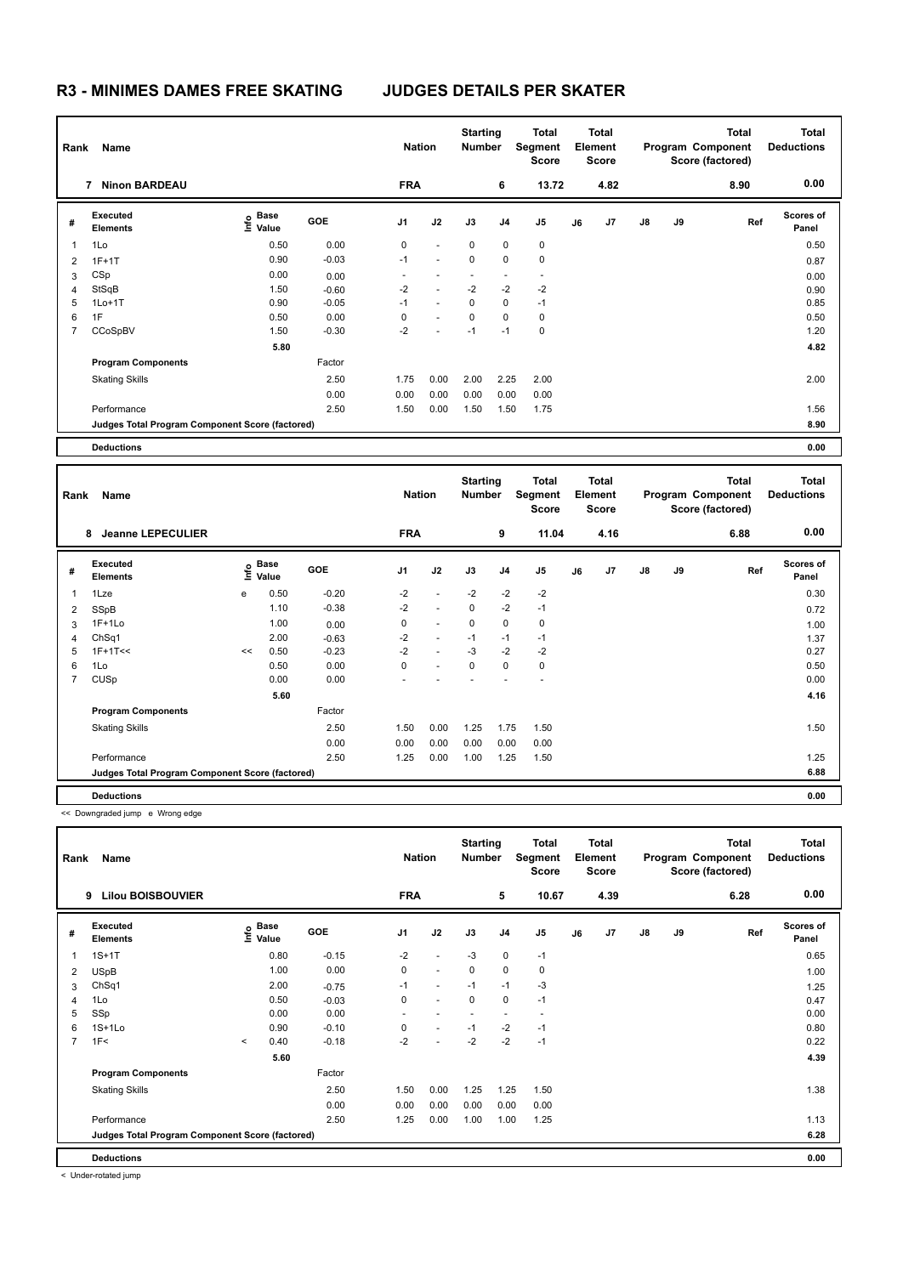|                | Name<br>Rank                                    |                                  |         |            | <b>Nation</b> | <b>Starting</b><br><b>Number</b> |                | Total<br>Segment<br><b>Score</b> | <b>Total</b><br>Element<br><b>Score</b> |                |               |    | <b>Total</b><br>Program Component<br>Score (factored) | Total<br><b>Deductions</b> |  |
|----------------|-------------------------------------------------|----------------------------------|---------|------------|---------------|----------------------------------|----------------|----------------------------------|-----------------------------------------|----------------|---------------|----|-------------------------------------------------------|----------------------------|--|
|                | <b>Ninon BARDEAU</b><br>7                       |                                  |         | <b>FRA</b> |               |                                  | 6              | 13.72                            |                                         | 4.82           |               |    | 8.90                                                  | 0.00                       |  |
| #              | Executed<br><b>Elements</b>                     | <b>Base</b><br>e Base<br>⊆ Value | GOE     | J1         | J2            | J3                               | J <sub>4</sub> | J5                               | J6                                      | J <sub>7</sub> | $\mathsf{J}8$ | J9 | Ref                                                   | <b>Scores of</b><br>Panel  |  |
| 1              | 1Lo                                             | 0.50                             | 0.00    | 0          | $\sim$        | $\Omega$                         | 0              | $\mathbf 0$                      |                                         |                |               |    |                                                       | 0.50                       |  |
| 2              | $1F+1T$                                         | 0.90                             | $-0.03$ | $-1$       | $\sim$        | $\mathbf 0$                      | 0              | $\mathbf 0$                      |                                         |                |               |    |                                                       | 0.87                       |  |
| 3              | CSp                                             | 0.00                             | 0.00    |            |               |                                  |                | $\overline{\phantom{a}}$         |                                         |                |               |    |                                                       | 0.00                       |  |
| $\overline{4}$ | StSqB                                           | 1.50                             | $-0.60$ | $-2$       | $\sim$        | $-2$                             | $-2$           | $-2$                             |                                         |                |               |    |                                                       | 0.90                       |  |
| 5              | $1Lo+1T$                                        | 0.90                             | $-0.05$ | $-1$       | $\omega$      | 0                                | $\mathbf 0$    | $-1$                             |                                         |                |               |    |                                                       | 0.85                       |  |
| 6              | 1F                                              | 0.50                             | 0.00    | 0          | $\sim$        | $\mathbf 0$                      | 0              | 0                                |                                         |                |               |    |                                                       | 0.50                       |  |
| $\overline{7}$ | CCoSpBV                                         | 1.50                             | $-0.30$ | $-2$       |               | $-1$                             | $-1$           | $\mathbf 0$                      |                                         |                |               |    |                                                       | 1.20                       |  |
|                |                                                 | 5.80                             |         |            |               |                                  |                |                                  |                                         |                |               |    |                                                       | 4.82                       |  |
|                | <b>Program Components</b>                       |                                  | Factor  |            |               |                                  |                |                                  |                                         |                |               |    |                                                       |                            |  |
|                | <b>Skating Skills</b>                           |                                  | 2.50    | 1.75       | 0.00          | 2.00                             | 2.25           | 2.00                             |                                         |                |               |    |                                                       | 2.00                       |  |
|                |                                                 |                                  | 0.00    | 0.00       | 0.00          | 0.00                             | 0.00           | 0.00                             |                                         |                |               |    |                                                       |                            |  |
|                | Performance                                     |                                  | 2.50    | 1.50       | 0.00          | 1.50                             | 1.50           | 1.75                             |                                         |                |               |    |                                                       | 1.56                       |  |
|                | Judges Total Program Component Score (factored) |                                  |         |            |               |                                  |                |                                  |                                         |                |               |    |                                                       | 8.90                       |  |
|                | <b>Deductions</b>                               |                                  |         |            |               |                                  |                |                                  |                                         |                |               |    |                                                       | 0.00                       |  |

**Total Deductions Total Program Component Score (factored) Total Element Segment Score Total Score Starting Rank Name Nation Number # Executed Elements Base Value GOE J1 J2 J3 J4 J5 J6 J7 J8 J9 Scores of Panel** 1 0.50 -0.20 -2 - -2 -2 -2 **Ref**  1Lze e 0.30 **Info 8 Jeanne LEPECULIER FRA 9 11.04 4.16 6.88 0.00** 2 SSpB 1.10 -0.38 -2 - 0 -2 -1 0.72 3 1F+1Lo 1.00 0.00 0 - 0 0 0 1.00 4 ChSq1 2.00 -0.63 -2 - -1 -1 -1 1.37 5 1F+1T<< << 0.50 -0.23 -2 - -3 -2 -2 0.27 6 1Lo 0.50 0.00 0 - 0 0 0 0.50 7 CUSp 0.00 0.00 - - - - - 0.00  **5.60 4.16 Program Components**  Skating Skills 1.50 2.50 1.50 0.00 1.25 1.75 1.50 Factor 1.50 0.00 1.25 1.75 1.50 1.50 0.00 0.00 0.00 0.00 0.00 0.00 Performance 2.50 1.25 0.00 1.00 1.25 1.50 1.25 **Deductions 0.00 Judges Total Program Component Score (factored) 6.88**

<< Downgraded jump e Wrong edge

|                | Name<br>Rank                                    |         |                   |            | <b>Nation</b>  |                          | <b>Starting</b><br><b>Number</b> |                | <b>Total</b><br>Segment<br><b>Score</b> | <b>Total</b><br>Element<br><b>Score</b> |      | Program Component |    | Total<br>Score (factored) | <b>Total</b><br><b>Deductions</b> |  |
|----------------|-------------------------------------------------|---------|-------------------|------------|----------------|--------------------------|----------------------------------|----------------|-----------------------------------------|-----------------------------------------|------|-------------------|----|---------------------------|-----------------------------------|--|
|                | <b>Lilou BOISBOUVIER</b><br>9                   |         |                   |            | <b>FRA</b>     |                          |                                  | 5              | 10.67                                   |                                         | 4.39 |                   |    | 6.28                      | 0.00                              |  |
| #              | Executed<br><b>Elements</b>                     |         | e Base<br>⊆ Value | <b>GOE</b> | J <sub>1</sub> | J2                       | J3                               | J <sub>4</sub> | J <sub>5</sub>                          | J6                                      | J7   | $\mathsf{J}8$     | J9 | Ref                       | <b>Scores of</b><br>Panel         |  |
| 1              | $1S+1T$                                         |         | 0.80              | $-0.15$    | $-2$           | $\overline{a}$           | $-3$                             | $\mathbf 0$    | $-1$                                    |                                         |      |                   |    |                           | 0.65                              |  |
| 2              | <b>USpB</b>                                     |         | 1.00              | 0.00       | 0              | $\overline{a}$           | $\mathbf 0$                      | $\mathbf 0$    | 0                                       |                                         |      |                   |    |                           | 1.00                              |  |
| 3              | ChSq1                                           |         | 2.00              | $-0.75$    | $-1$           | $\overline{a}$           | $-1$                             | $-1$           | $-3$                                    |                                         |      |                   |    |                           | 1.25                              |  |
| 4              | 1Lo                                             |         | 0.50              | $-0.03$    | 0              | $\overline{a}$           | 0                                | $\mathbf 0$    | $-1$                                    |                                         |      |                   |    |                           | 0.47                              |  |
| 5              | SSp                                             |         | 0.00              | 0.00       | ٠              | $\overline{\phantom{a}}$ | $\sim$                           | ٠              | $\sim$                                  |                                         |      |                   |    |                           | 0.00                              |  |
| 6              | $1S+1Lo$                                        |         | 0.90              | $-0.10$    | 0              | $\overline{\phantom{a}}$ | $-1$                             | $-2$           | $-1$                                    |                                         |      |                   |    |                           | 0.80                              |  |
| $\overline{7}$ | 1F<                                             | $\prec$ | 0.40              | $-0.18$    | $-2$           |                          | $-2$                             | $-2$           | $-1$                                    |                                         |      |                   |    |                           | 0.22                              |  |
|                |                                                 |         | 5.60              |            |                |                          |                                  |                |                                         |                                         |      |                   |    |                           | 4.39                              |  |
|                | <b>Program Components</b>                       |         |                   | Factor     |                |                          |                                  |                |                                         |                                         |      |                   |    |                           |                                   |  |
|                | <b>Skating Skills</b>                           |         |                   | 2.50       | 1.50           | 0.00                     | 1.25                             | 1.25           | 1.50                                    |                                         |      |                   |    |                           | 1.38                              |  |
|                |                                                 |         |                   | 0.00       | 0.00           | 0.00                     | 0.00                             | 0.00           | 0.00                                    |                                         |      |                   |    |                           |                                   |  |
|                | Performance                                     |         |                   | 2.50       | 1.25           | 0.00                     | 1.00                             | 1.00           | 1.25                                    |                                         |      |                   |    |                           | 1.13                              |  |
|                | Judges Total Program Component Score (factored) |         |                   |            |                |                          |                                  |                |                                         |                                         |      |                   |    |                           | 6.28                              |  |
|                | <b>Deductions</b>                               |         |                   |            |                |                          |                                  |                |                                         |                                         |      |                   |    |                           | 0.00                              |  |

< Under-rotated jump